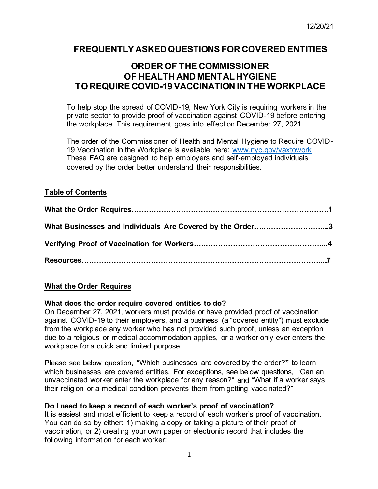# **FREQUENTLY ASKED QUESTIONS FOR COVERED ENTITIES**

# **ORDER OF THE COMMISSIONER OF HEALTH AND MENTAL HYGIENE TO REQUIRE COVID-19 VACCINATION IN THE WORKPLACE**

To help stop the spread of COVID-19, New York City is requiring workers in the private sector to provide proof of vaccination against COVID-19 before entering the workplace. This requirement goes into effect on December 27, 2021.

The order of the Commissioner of Health and Mental Hygiene to Require COVID-19 Vaccination in the Workplace is available here: www.nyc.gov/vaxtowork These FAQ are designed to help employers and self-employed individuals covered by the order better understand their responsibilities.

# **Table of Contents**

| What Businesses and Individuals Are Covered by the Order3 |  |
|-----------------------------------------------------------|--|
|                                                           |  |
|                                                           |  |

# **What the Order Requires**

### **What does the order require covered entities to do?**

On December 27, 2021, workers must provide or have provided proof of vaccination against COVID-19 to their employers, and a business (a "covered entity") must exclude from the workplace any worker who has not provided such proof, unless an exception due to a religious or medical accommodation applies, or a worker only ever enters the workplace for a quick and limited purpose.

Please see below question, "Which businesses are covered by the order?" to learn which businesses are covered entities. For exceptions, see below questions, "Can an unvaccinated worker enter the workplace for any reason?" and "What if a worker says their religion or a medical condition prevents them from getting vaccinated?

### Do I need to keep a record of each worker's proof of vaccination?

It is easiest and most efficient to keep a record of each worker's proof of vaccination. You can do so by either: 1) making a copy or taking a picture of their proof of vaccination, or 2) creating your own paper or electronic record that includes the following information for each worker: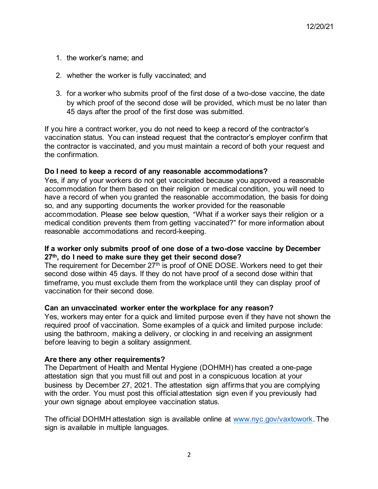- 1. the worker's name; and
- 2. whether the worker is fully vaccinated; and
- 3. for a worker who submits proof of the first dose of a two-dose vaccine, the date by which proof of the second dose will be provided, which must be no later than 45 days after the proof of the first dose was submitted.

If you hire a contract worker, you do not need to keep a record of the contractor's vaccination status. You can instead request that the contractor's employer confirm that the contractor is vaccinated, and you must maintain a record of both your request and the confirmation.

#### **Do I need to keep a record of any reasonable accommodations?**

Yes, if any of your workers do not get vaccinated because you approved a reasonable accommodation for them based on their religion or medical condition, you will need to have a record of when you granted the reasonable accommodation, the basis for doing so, and any supporting documents the worker provided for the reasonable accommodation. Please see below question, "What if a worker says their religion or a medical condition prevents them from getting vaccinated?" for more information about reasonable accommodations and record-keeping.

#### **If a worker only submits proof of one dose of a two-dose vaccine by December 27th, do I need to make sure they get their second dose?**

The requirement for December 27<sup>th</sup> is proof of ONE DOSE. Workers need to get their second dose within 45 days. If they do not have proof of a second dose within that timeframe, you must exclude them from the workplace until they can display proof of vaccination for their second dose.

#### **Can an unvaccinated worker enter the workplace for any reason?**

Yes, workers may enter for a quick and limited purpose even if they have not shown the required proof of vaccination. Some examples of a quick and limited purpose include: using the bathroom, making a delivery, or clocking in and receiving an assignment before leaving to begin a solitary assignment.

#### **Are there any other requirements?**

The Department of Health and Mental Hygiene (DOHMH) has created a one-page attestation sign that you must fill out and post in a conspicuous location at your business by December 27, 2021. The attestation sign affirms that you are complying with the order. You must post this official attestation sign even if you previously had your own signage about employee vaccination status.

The official DOHMH attestation sign is available online at www.nyc.gov/vaxtowork. The sign is available in multiple languages.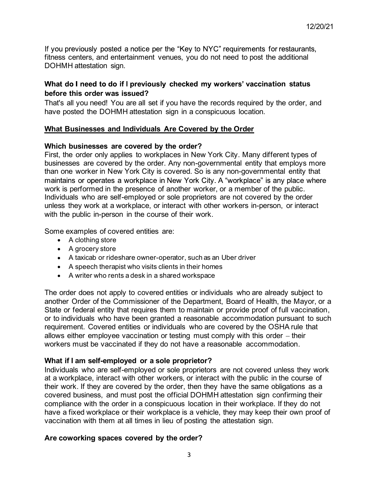If you previously posted a notice per the "Key to NYC" requirements for restaurants, fitness centers, and entertainment venues, you do not need to post the additional DOHMH attestation sign.

# What do I need to do if I previously checked my workers' vaccination status **before this order was issued?**

That's all you need! You are all set if you have the records required by the order, and have posted the DOHMH attestation sign in a conspicuous location.

# **What Businesses and Individuals Are Covered by the Order**

### **Which businesses are covered by the order?**

First, the order only applies to workplaces in New York City. Many different types of businesses are covered by the order. Any non-governmental entity that employs more than one worker in New York City is covered. So is any non-governmental entity that maintains or operates a workplace in New York City. A "workplace" is any place where work is performed in the presence of another worker, or a member of the public. Individuals who are self-employed or sole proprietors are not covered by the order unless they work at a workplace, or interact with other workers in-person, or interact with the public in-person in the course of their work.

Some examples of covered entities are:

- A clothing store
- A grocery store
- A taxicab or rideshare owner-operator, such as an Uber driver
- A speech therapist who visits clients in their homes
- A writer who rents a desk in a shared workspace

The order does not apply to covered entities or individuals who are already subject to another Order of the Commissioner of the Department, Board of Health, the Mayor, or a State or federal entity that requires them to maintain or provide proof of full vaccination, or to individuals who have been granted a reasonable accommodation pursuant to such requirement. Covered entities or individuals who are covered by the OSHA rule that allows either employee vaccination or testing must comply with this order  $-$  their workers must be vaccinated if they do not have a reasonable accommodation.

### **What if I am self-employed or a sole proprietor?**

Individuals who are self-employed or sole proprietors are not covered unless they work at a workplace, interact with other workers, or interact with the public in the course of their work. If they are covered by the order, then they have the same obligations as a covered business, and must post the official DOHMH attestation sign confirming their compliance with the order in a conspicuous location in their workplace. If they do not have a fixed workplace or their workplace is a vehicle, they may keep their own proof of vaccination with them at all times in lieu of posting the attestation sign.

### **Are coworking spaces covered by the order?**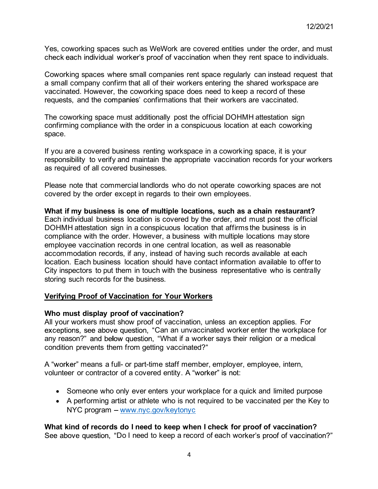Yes, coworking spaces such as WeWork are covered entities under the order, and must check each individual worker's proof of vaccination when they rent space to individuals.

Coworking spaces where small companies rent space regularly can instead request that a small company confirm that all of their workers entering the shared workspace are vaccinated. However, the coworking space does need to keep a record of these requests, and the companies' confirmations that their workers are vaccinated.

The coworking space must additionally post the official DOHMH attestation sign confirming compliance with the order in a conspicuous location at each coworking space.

If you are a covered business renting workspace in a coworking space, it is your responsibility to verify and maintain the appropriate vaccination records for your workers as required of all covered businesses.

Please note that commercial landlords who do not operate coworking spaces are not covered by the order except in regards to their own employees.

**What if my business is one of multiple locations, such as a chain restaurant?** Each individual business location is covered by the order, and must post the official DOHMH attestation sign in a conspicuous location that affirms the business is in compliance with the order. However, a business with multiple locations may store employee vaccination records in one central location, as well as reasonable accommodation records, if any, instead of having such records available at each location. Each business location should have contact information available to offer to City inspectors to put them in touch with the business representative who is centrally storing such records for the business.

### **Verifying Proof of Vaccination for Your Workers**

#### **Who must display proof of vaccination?**

All your workers must show proof of vaccination, unless an exception applies. For exceptions, see above question, "Can an unvaccinated worker enter the workplace for any reason?" and below question, "What if a worker says their religion or a medical condition prevents them from getting vaccinated?

A "worker" means a full- or part-time staff member, employer, employee, intern, volunteer or contractor of a covered entity. A "worker" is not:

- Someone who only ever enters your workplace for a quick and limited purpose
- A performing artist or athlete who is not required to be vaccinated per the Key to  $N<sub>YC</sub>$  program – www.nyc.gov/keytonyc

### **What kind of records do I need to keep when I check for proof of vaccination?**

See above question, "Do I need to keep a record of each worker's proof of vaccination?"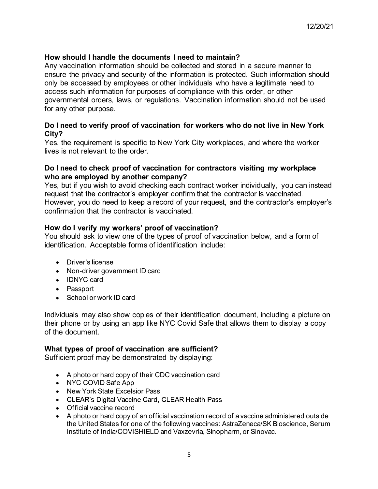## **How should I handle the documents I need to maintain?**

Any vaccination information should be collected and stored in a secure manner to ensure the privacy and security of the information is protected. Such information should only be accessed by employees or other individuals who have a legitimate need to access such information for purposes of compliance with this order, or other governmental orders, laws, or regulations. Vaccination information should not be used for any other purpose.

## **Do I need to verify proof of vaccination for workers who do not live in New York City?**

Yes, the requirement is specific to New York City workplaces, and where the worker lives is not relevant to the order.

### **Do I need to check proof of vaccination for contractors visiting my workplace who are employed by another company?**

Yes, but if you wish to avoid checking each contract worker individually, you can instead request that the contractor's employer confirm that the contractor is vaccinated. However, you do need to keep a record of your request, and the contractor's employer's confirmation that the contractor is vaccinated.

### **How do I**

You should ask to view one of the types of proof of vaccination below, and a form of identification. Acceptable forms of identification include:

- Driver's license
- Non-driver government ID card
- IDNYC card
- Passport
- School or work ID card

Individuals may also show copies of their identification document, including a picture on their phone or by using an app like NYC Covid Safe that allows them to display a copy of the document.

### **What types of proof of vaccination are sufficient?**

Sufficient proof may be demonstrated by displaying:

- A photo or hard copy of their CDC vaccination card
- NYC COVID Safe App
- New York State Excelsior Pass
- CLEAR's Digital Vaccine Card, CLEAR Health Pass
- Official vaccine record
- A photo or hard copy of an official vaccination record of a vaccine administered outside the United States for one of the following vaccines: AstraZeneca/SK Bioscience, Serum Institute of India/COVISHIELD and Vaxzevria, Sinopharm, or Sinovac.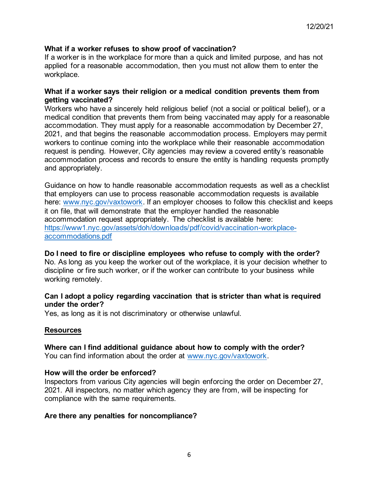#### **What if a worker refuses to show proof of vaccination?**

If a worker is in the workplace for more than a quick and limited purpose, and has not applied for a reasonable accommodation, then you must not allow them to enter the workplace.

#### **What if a worker says their religion or a medical condition prevents them from getting vaccinated?**

Workers who have a sincerely held religious belief (not a social or political belief), or a medical condition that prevents them from being vaccinated may apply for a reasonable accommodation. They must apply for a reasonable accommodation by December 27, 2021, and that begins the reasonable accommodation process. Employers may permit workers to continue coming into the workplace while their reasonable accommodation request is pending. However, City agencies may review a covered entity's reasonable accommodation process and records to ensure the entity is handling requests promptly and appropriately.

Guidance on how to handle reasonable accommodation requests as well as a checklist that employers can use to process reasonable accommodation requests is available here: www.nyc.gov/vaxtowork. If an employer chooses to follow this checklist and keeps it on file, that will demonstrate that the employer handled the reasonable accommodation request appropriately. The checklist is available here: https://www1.nyc.gov/assets/doh/downloads/pdf/covid/vaccination-workplaceaccommodations.pdf

#### **Do I need to fire or discipline employees who refuse to comply with the order?**

No. As long as you keep the worker out of the workplace, it is your decision whether to discipline or fire such worker, or if the worker can contribute to your business while working remotely.

#### **Can I adopt a policy regarding vaccination that is stricter than what is required under the order?**

Yes, as long as it is not discriminatory or otherwise unlawful.

#### **Resources**

**Where can I find additional guidance about how to comply with the order?** You can find information about the order at www.nyc.gov/vaxtowork.

#### **How will the order be enforced?**

Inspectors from various City agencies will begin enforcing the order on December 27, 2021. All inspectors, no matter which agency they are from, will be inspecting for compliance with the same requirements.

#### **Are there any penalties for noncompliance?**